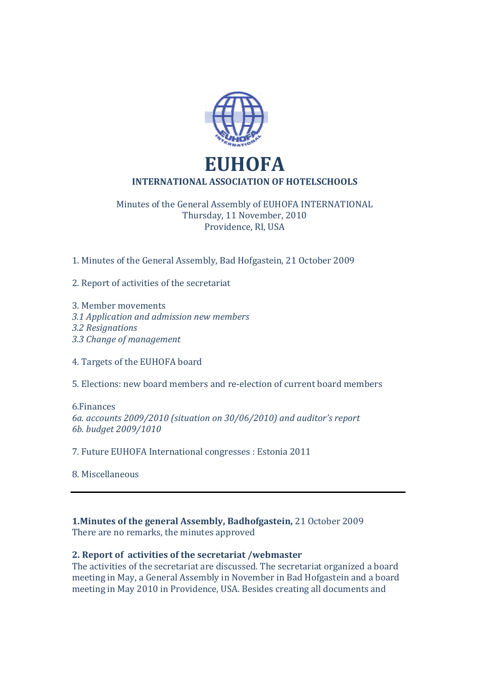

# Minutes of the General Assembly of EUHOFA INTERNATIONAL Thursday, 11 November, 2010 Providence, RI, USA

1. Minutes of the General Assembly, Bad Hofgastein, 21 October 2009

2. Report of activities of the secretariat

3. Member movements *3.1 Application and admission new members 3.2 Resignations 3.3 Change of management* 

4. Targets of the EUHOFA board

5. Elections: new board members and re-election of current board members

6.Finances *6a. accounts 2009/2010 (situation on 30/06/2010) and auditor's report 6b. budget 2009/1010* 

7. Future EUHOFA International congresses : Estonia 2011

8. Miscellaneous

**1.Minutes of the general Assembly, Badhofgastein,** 21 October 2009 There are no remarks, the minutes approved

# **2. Report of activities of the secretariat /webmaster**

The activities of the secretariat are discussed. The secretariat organized a board meeting in May, a General Assembly in November in Bad Hofgastein and a board meeting in May 2010 in Providence, USA. Besides creating all documents and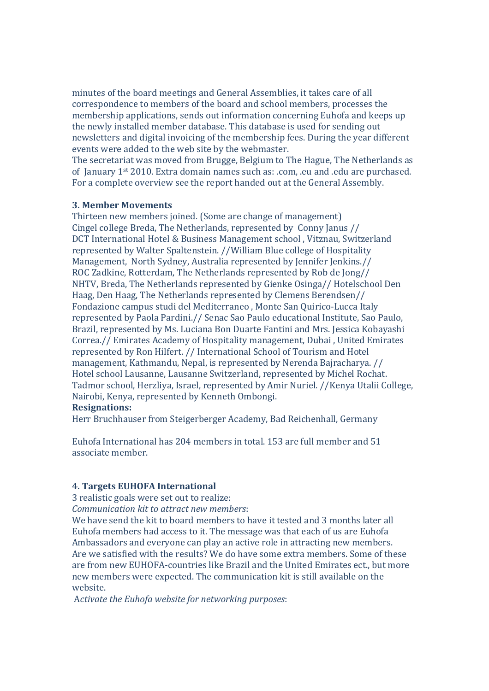minutes of the board meetings and General Assemblies, it takes care of all correspondence to members of the board and school members, processes the membership applications, sends out information concerning Euhofa and keeps up the newly installed member database. This database is used for sending out newsletters and digital invoicing of the membership fees. During the year different events were added to the web site by the webmaster.

The secretariat was moved from Brugge, Belgium to The Hague, The Netherlands as of January 1st 2010. Extra domain names such as: .com, .eu and .edu are purchased. For a complete overview see the report handed out at the General Assembly.

### **3. Member Movements**

Thirteen new members joined. (Some are change of management) Cingel college Breda, The Netherlands, represented by Conny Janus // DCT International Hotel & Business Management school , Vitznau, Switzerland represented by Walter Spaltenstein. //William Blue college of Hospitality Management, North Sydney, Australia represented by Jennifer Jenkins.// ROC Zadkine, Rotterdam, The Netherlands represented by Rob de Jong// NHTV, Breda, The Netherlands represented by Gienke Osinga// Hotelschool Den Haag, Den Haag, The Netherlands represented by Clemens Berendsen// Fondazione campus studi del Mediterraneo , Monte San Quirico-Lucca Italy represented by Paola Pardini.// Senac Sao Paulo educational Institute, Sao Paulo, Brazil, represented by Ms. Luciana Bon Duarte Fantini and Mrs. Jessica Kobayashi Correa.// Emirates Academy of Hospitality management, Dubai , United Emirates represented by Ron Hilfert. // International School of Tourism and Hotel management, Kathmandu, Nepal, is represented by Nerenda Bajracharya. // Hotel school Lausanne, Lausanne Switzerland, represented by Michel Rochat. Tadmor school, Herzliya, Israel, represented by Amir Nuriel. //Kenya Utalii College, Nairobi, Kenya, represented by Kenneth Ombongi.

#### **Resignations:**

Herr Bruchhauser from Steigerberger Academy, Bad Reichenhall, Germany

Euhofa International has 204 members in total. 153 are full member and 51 associate member.

### **4. Targets EUHOFA International**

3 realistic goals were set out to realize:

*Communication kit to attract new members*:

We have send the kit to board members to have it tested and 3 months later all Euhofa members had access to it. The message was that each of us are Euhofa Ambassadors and everyone can play an active role in attracting new members. Are we satisfied with the results? We do have some extra members. Some of these are from new EUHOFA-countries like Brazil and the United Emirates ect., but more new members were expected. The communication kit is still available on the website.

A*ctivate the Euhofa website for networking purposes*: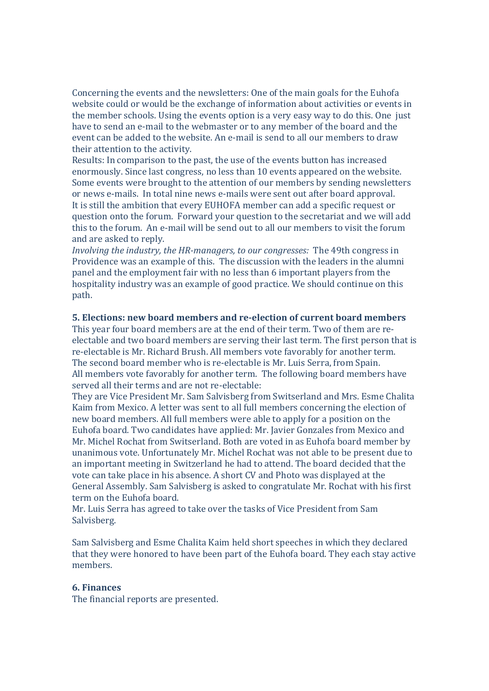Concerning the events and the newsletters: One of the main goals for the Euhofa website could or would be the exchange of information about activities or events in the member schools. Using the events option is a very easy way to do this. One just have to send an e-mail to the webmaster or to any member of the board and the event can be added to the website. An e-mail is send to all our members to draw their attention to the activity.

Results: In comparison to the past, the use of the events button has increased enormously. Since last congress, no less than 10 events appeared on the website. Some events were brought to the attention of our members by sending newsletters or news e-mails. In total nine news e-mails were sent out after board approval. It is still the ambition that every EUHOFA member can add a specific request or question onto the forum. Forward your question to the secretariat and we will add this to the forum. An e-mail will be send out to all our members to visit the forum and are asked to reply.

*Involving the industry, the HR-managers, to our congresses:* The 49th congress in Providence was an example of this. The discussion with the leaders in the alumni panel and the employment fair with no less than 6 important players from the hospitality industry was an example of good practice. We should continue on this path.

#### **5. Elections: new board members and re-election of current board members**

This year four board members are at the end of their term. Two of them are reelectable and two board members are serving their last term. The first person that is re-electable is Mr. Richard Brush. All members vote favorably for another term. The second board member who is re-electable is Mr. Luis Serra, from Spain. All members vote favorably for another term. The following board members have served all their terms and are not re-electable:

They are Vice President Mr. Sam Salvisberg from Switserland and Mrs. Esme Chalita Kaim from Mexico. A letter was sent to all full members concerning the election of new board members. All full members were able to apply for a position on the Euhofa board. Two candidates have applied: Mr. Javier Gonzales from Mexico and Mr. Michel Rochat from Switserland. Both are voted in as Euhofa board member by unanimous vote. Unfortunately Mr. Michel Rochat was not able to be present due to an important meeting in Switzerland he had to attend. The board decided that the vote can take place in his absence. A short CV and Photo was displayed at the General Assembly. Sam Salvisberg is asked to congratulate Mr. Rochat with his first term on the Euhofa board.

Mr. Luis Serra has agreed to take over the tasks of Vice President from Sam Salvisberg.

Sam Salvisberg and Esme Chalita Kaim held short speeches in which they declared that they were honored to have been part of the Euhofa board. They each stay active members.

### **6. Finances**

The financial reports are presented.